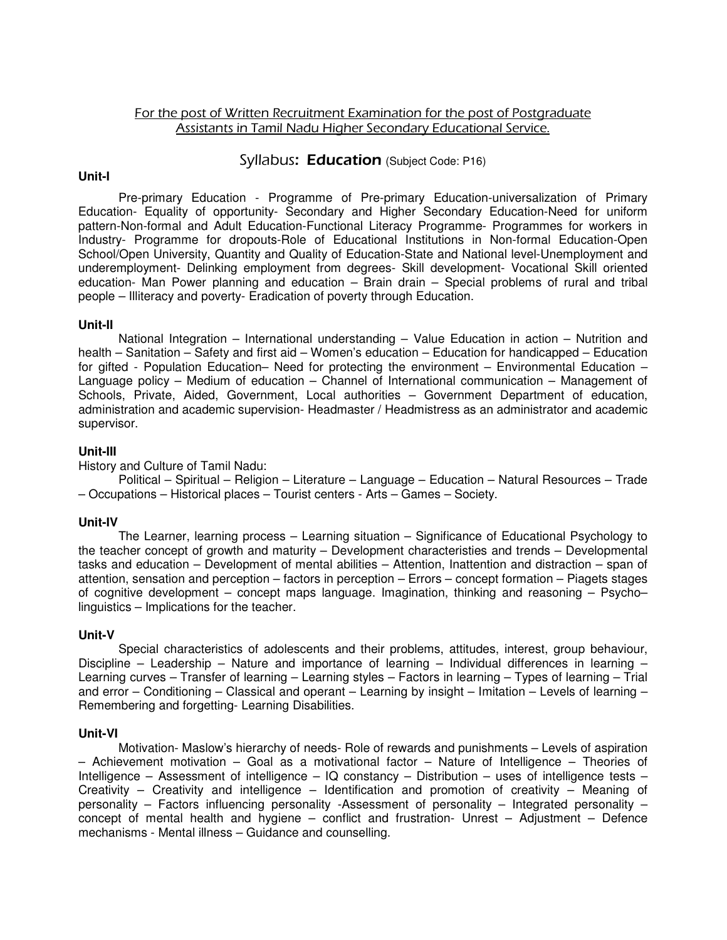# For the post of Written Recruitment Examination for the post of Postgraduate Assistants in Tamil Nadu Higher Secondary Educational Service.

### Syllabus: **Education** (Subject Code: P16)

## **Unit-I**

 Pre-primary Education - Programme of Pre-primary Education-universalization of Primary Education- Equality of opportunity- Secondary and Higher Secondary Education-Need for uniform pattern-Non-formal and Adult Education-Functional Literacy Programme- Programmes for workers in Industry- Programme for dropouts-Role of Educational Institutions in Non-formal Education-Open School/Open University, Quantity and Quality of Education-State and National level-Unemployment and underemployment- Delinking employment from degrees- Skill development- Vocational Skill oriented education- Man Power planning and education – Brain drain – Special problems of rural and tribal people – Illiteracy and poverty- Eradication of poverty through Education.

## **Unit-II**

 National Integration – International understanding – Value Education in action – Nutrition and health – Sanitation – Safety and first aid – Women's education – Education for handicapped – Education for gifted - Population Education– Need for protecting the environment – Environmental Education – Language policy – Medium of education – Channel of International communication – Management of Schools, Private, Aided, Government, Local authorities – Government Department of education, administration and academic supervision- Headmaster / Headmistress as an administrator and academic supervisor.

## **Unit-III**

History and Culture of Tamil Nadu:

 Political – Spiritual – Religion – Literature – Language – Education – Natural Resources – Trade – Occupations – Historical places – Tourist centers - Arts – Games – Society.

#### **Unit-IV**

 The Learner, learning process – Learning situation – Significance of Educational Psychology to the teacher concept of growth and maturity – Development characteristies and trends – Developmental tasks and education – Development of mental abilities – Attention, Inattention and distraction – span of attention, sensation and perception – factors in perception – Errors – concept formation – Piagets stages of cognitive development – concept maps language. Imagination, thinking and reasoning – Psycho– linguistics – Implications for the teacher.

#### **Unit-V**

 Special characteristics of adolescents and their problems, attitudes, interest, group behaviour, Discipline – Leadership – Nature and importance of learning – Individual differences in learning – Learning curves – Transfer of learning – Learning styles – Factors in learning – Types of learning – Trial and error – Conditioning – Classical and operant – Learning by insight – Imitation – Levels of learning – Remembering and forgetting- Learning Disabilities.

#### **Unit-VI**

 Motivation- Maslow's hierarchy of needs- Role of rewards and punishments – Levels of aspiration – Achievement motivation – Goal as a motivational factor – Nature of Intelligence – Theories of Intelligence – Assessment of intelligence – IQ constancy – Distribution – uses of intelligence tests – Creativity – Creativity and intelligence – Identification and promotion of creativity – Meaning of personality – Factors influencing personality -Assessment of personality – Integrated personality – concept of mental health and hygiene – conflict and frustration- Unrest – Adjustment – Defence mechanisms - Mental illness – Guidance and counselling.